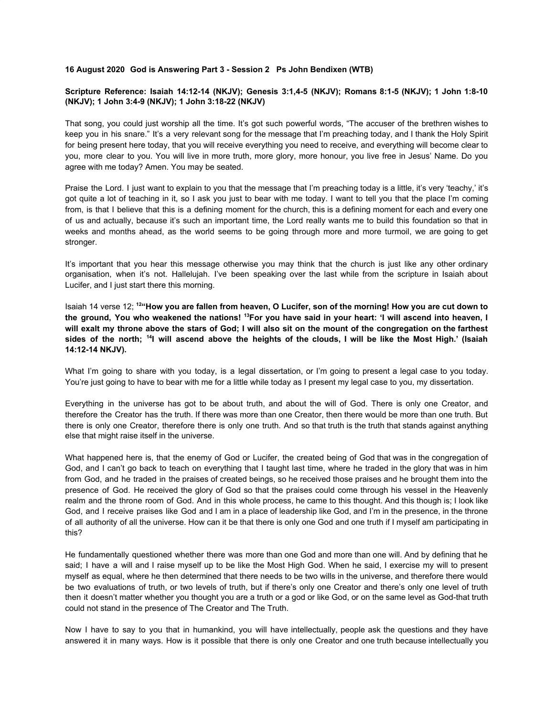## **16 August 2020 God is Answering Part 3 - Session 2 Ps John Bendixen (WTB)**

## **Scripture Reference: Isaiah 14:12-14 (NKJV); Genesis 3:1,4-5 (NKJV); Romans 8:1-5 (NKJV); 1 John 1:8-10 (NKJV); 1 John 3:4-9 (NKJV); 1 John 3:18-22 (NKJV)**

That song, you could just worship all the time. It's got such powerful words, "The accuser of the brethren wishes to keep you in his snare." It's a very relevant song for the message that I'm preaching today, and I thank the Holy Spirit for being present here today, that you will receive everything you need to receive, and everything will become clear to you, more clear to you. You will live in more truth, more glory, more honour, you live free in Jesus' Name. Do you agree with me today? Amen. You may be seated.

Praise the Lord. I just want to explain to you that the message that I'm preaching today is a little, it's very 'teachy,' it's got quite a lot of teaching in it, so I ask you just to bear with me today. I want to tell you that the place I'm coming from, is that I believe that this is a defining moment for the church, this is a defining moment for each and every one of us and actually, because it's such an important time, the Lord really wants me to build this foundation so that in weeks and months ahead, as the world seems to be going through more and more turmoil, we are going to get stronger.

It's important that you hear this message otherwise you may think that the church is just like any other ordinary organisation, when it's not. Hallelujah. I've been speaking over the last while from the scripture in Isaiah about Lucifer, and I just start there this morning.

Isaiah 14 verse 12; <sup>12</sup>"How you are fallen from heaven, O Lucifer, son of the morning! How you are cut down to the ground, You who weakened the nations! <sup>13</sup>For you have said in your heart: 'I will ascend into heaven, I will exalt my throne above the stars of God; I will also sit on the mount of the congregation on the farthest sides of the north; <sup>14</sup>I will ascend above the heights of the clouds, I will be like the Most High.' (Isaiah **14:12-14 NKJV).**

What I'm going to share with you today, is a legal dissertation, or I'm going to present a legal case to you today. You're just going to have to bear with me for a little while today as I present my legal case to you, my dissertation.

Everything in the universe has got to be about truth, and about the will of God. There is only one Creator, and therefore the Creator has the truth. If there was more than one Creator, then there would be more than one truth. But there is only one Creator, therefore there is only one truth. And so that truth is the truth that stands against anything else that might raise itself in the universe.

What happened here is, that the enemy of God or Lucifer, the created being of God that was in the congregation of God, and I can't go back to teach on everything that I taught last time, where he traded in the glory that was in him from God, and he traded in the praises of created beings, so he received those praises and he brought them into the presence of God. He received the glory of God so that the praises could come through his vessel in the Heavenly realm and the throne room of God. And in this whole process, he came to this thought. And this though is; I look like God, and I receive praises like God and I am in a place of leadership like God, and I'm in the presence, in the throne of all authority of all the universe. How can it be that there is only one God and one truth if I myself am participating in this?

He fundamentally questioned whether there was more than one God and more than one will. And by defining that he said; I have a will and I raise myself up to be like the Most High God. When he said, I exercise my will to present myself as equal, where he then determined that there needs to be two wills in the universe, and therefore there would be two evaluations of truth, or two levels of truth, but if there's only one Creator and there's only one level of truth then it doesn't matter whether you thought you are a truth or a god or like God, or on the same level as God-that truth could not stand in the presence of The Creator and The Truth.

Now I have to say to you that in humankind, you will have intellectually, people ask the questions and they have answered it in many ways. How is it possible that there is only one Creator and one truth because intellectually you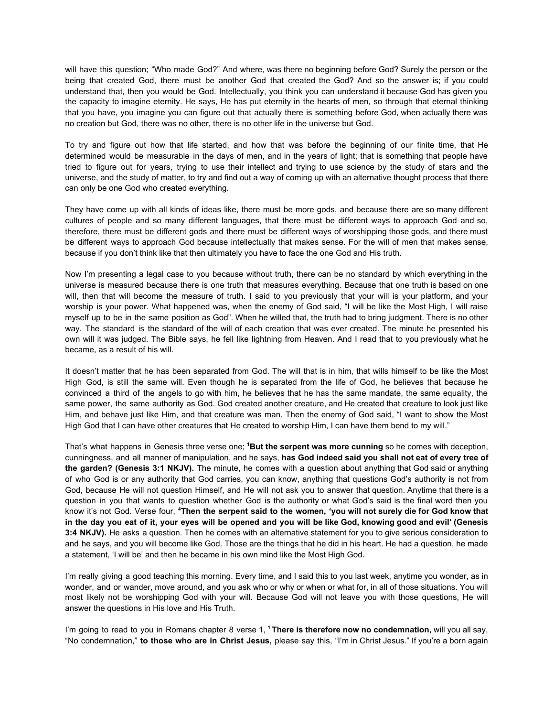will have this question; "Who made God?" And where, was there no beginning before God? Surely the person or the being that created God, there must be another God that created the God? And so the answer is; if you could understand that, then you would be God. Intellectually, you think you can understand it because God has given you the capacity to imagine eternity. He says, He has put eternity in the hearts of men, so through that eternal thinking that you have, you imagine you can figure out that actually there is something before God, when actually there was no creation but God, there was no other, there is no other life in the universe but God.

To try and figure out how that life started, and how that was before the beginning of our finite time, that He determined would be measurable in the days of men, and in the years of light; that is something that people have tried to figure out for years, trying to use their intellect and trying to use science by the study of stars and the universe, and the study of matter, to try and find out a way of coming up with an alternative thought process that there can only be one God who created everything.

They have come up with all kinds of ideas like, there must be more gods, and because there are so many different cultures of people and so many different languages, that there must be different ways to approach God and so, therefore, there must be different gods and there must be different ways of worshipping those gods, and there must be different ways to approach God because intellectually that makes sense. For the will of men that makes sense, because if you don't think like that then ultimately you have to face the one God and His truth.

Now I'm presenting a legal case to you because without truth, there can be no standard by which everything in the universe is measured because there is one truth that measures everything. Because that one truth is based on one will, then that will become the measure of truth. I said to you previously that your will is your platform, and your worship is your power. What happened was, when the enemy of God said, "I will be like the Most High, I will raise myself up to be in the same position as God". When he willed that, the truth had to bring judgment. There is no other way. The standard is the standard of the will of each creation that was ever created. The minute he presented his own will it was judged. The Bible says, he fell like lightning from Heaven. And I read that to you previously what he became, as a result of his will.

It doesn't matter that he has been separated from God. The will that is in him, that wills himself to be like the Most High God, is still the same will. Even though he is separated from the life of God, he believes that because he convinced a third of the angels to go with him, he believes that he has the same mandate, the same equality, the same power, the same authority as God. God created another creature, and He created that creature to look just like Him, and behave just like Him, and that creature was man. Then the enemy of God said, "I want to show the Most High God that I can have other creatures that He created to worship Him, I can have them bend to my will."

That's what happens in Genesis three verse one; **<sup>1</sup>But the serpent was more cunning** so he comes with deception, cunningness, and all manner of manipulation, and he says, **has God indeed said you shall not eat of every tree of the garden? (Genesis 3:1 NKJV).** The minute, he comes with a question about anything that God said or anything of who God is or any authority that God carries, you can know, anything that questions God's authority is not from God, because He will not question Himself, and He will not ask you to answer that question. Anytime that there is a question in you that wants to question whether God is the authority or what God's said is the final word then you know it's not God. Verse four, <sup>4</sup>Then the serpent said to the women, 'you will not surely die for God know that in the day you eat of it, your eyes will be opened and you will be like God, knowing good and evil' (Genesis **3:4 NKJV).** He asks a question. Then he comes with an alternative statement for you to give serious consideration to and he says, and you will become like God. Those are the things that he did in his heart. He had a question, he made a statement, 'I will be' and then he became in his own mind like the Most High God.

I'm really giving a good teaching this morning. Every time, and I said this to you last week, anytime you wonder, as in wonder, and or wander, move around, and you ask who or why or when or what for, in all of those situations. You will most likely not be worshipping God with your will. Because God will not leave you with those questions, He will answer the questions in His love and His Truth.

I'm going to read to you in Romans chapter 8 verse 1, **<sup>1</sup> There is therefore now no condemnation,** will you all say, "No condemnation," **to those who are in Christ Jesus,** please say this, "I'm in Christ Jesus." If you're a born again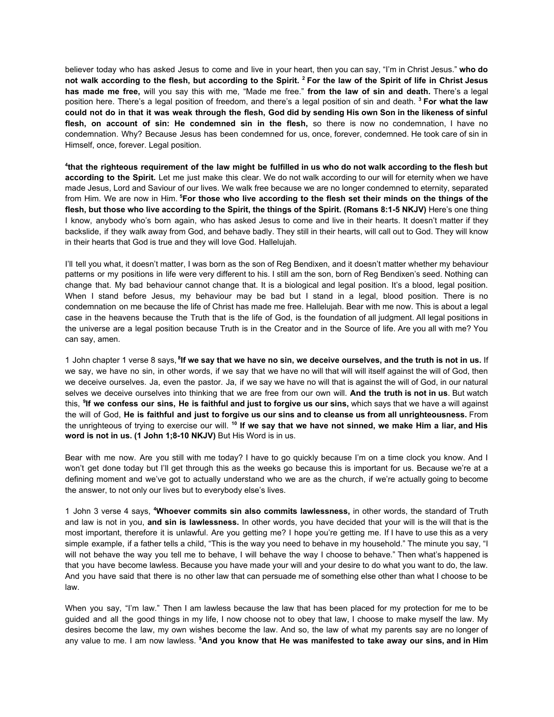believer today who has asked Jesus to come and live in your heart, then you can say, "I'm in Christ Jesus." **who do** not walk according to the flesh, but according to the Spirit. <sup>2</sup> For the law of the Spirit of life in Christ Jesus **has made me free,** will you say this with me, "Made me free." **from the law of sin and death.** There's a legal position here. There's a legal position of freedom, and there's a legal position of sin and death. **<sup>3</sup> For what the law** could not do in that it was weak through the flesh, God did by sending His own Son in the likeness of sinful **flesh, on account of sin: He condemned sin in the flesh,** so there is now no condemnation, I have no condemnation. Why? Because Jesus has been condemned for us, once, forever, condemned. He took care of sin in Himself, once, forever. Legal position.

that the righteous requirement of the law might be fulfilled in us who do not walk according to the flesh but **according to the Spirit.** Let me just make this clear. We do not walk according to our will for eternity when we have made Jesus, Lord and Saviour of our lives. We walk free because we are no longer condemned to eternity, separated from Him. We are now in Him. <sup>5</sup>For those who live according to the flesh set their minds on the things of the flesh, but those who live according to the Spirit, the things of the Spirit. (Romans 8:1-5 NKJV) Here's one thing I know, anybody who's born again, who has asked Jesus to come and live in their hearts. It doesn't matter if they backslide, if they walk away from God, and behave badly. They still in their hearts, will call out to God. They will know in their hearts that God is true and they will love God. Hallelujah.

I'll tell you what, it doesn't matter, I was born as the son of Reg Bendixen, and it doesn't matter whether my behaviour patterns or my positions in life were very different to his. I still am the son, born of Reg Bendixen's seed. Nothing can change that. My bad behaviour cannot change that. It is a biological and legal position. It's a blood, legal position. When I stand before Jesus, my behaviour may be bad but I stand in a legal, blood position. There is no condemnation on me because the life of Christ has made me free. Hallelujah. Bear with me now. This is about a legal case in the heavens because the Truth that is the life of God, is the foundation of all judgment. All legal positions in the universe are a legal position because Truth is in the Creator and in the Source of life. Are you all with me? You can say, amen.

1 John chapter 1 verse 8 says, <sup>8</sup>lf we say that we have no sin, we deceive ourselves, and the truth is not in us. If we say, we have no sin, in other words, if we say that we have no will that will will itself against the will of God, then we deceive ourselves. Ja, even the pastor. Ja, if we say we have no will that is against the will of God, in our natural selves we deceive ourselves into thinking that we are free from our own will. **And the truth is not in us**. But watch this, <sup>9</sup>lf we confess our sins, He is faithful and just to forgive us our sins, which says that we have a will against the will of God, He is faithful and just to forgive us our sins and to cleanse us from all unrighteousness. From the unrighteous of trying to exercise our will. <sup>10</sup> If we say that we have not sinned, we make Him a liar, and His **word is not in us. (1 John 1;8-10 NKJV)** But His Word is in us.

Bear with me now. Are you still with me today? I have to go quickly because I'm on a time clock you know. And I won't get done today but I'll get through this as the weeks go because this is important for us. Because we're at a defining moment and we've got to actually understand who we are as the church, if we're actually going to become the answer, to not only our lives but to everybody else's lives.

1 John 3 verse 4 says, **<sup>4</sup>Whoever commits sin also commits lawlessness,** in other words, the standard of Truth and law is not in you, **and sin is lawlessness.** In other words, you have decided that your will is the will that is the most important, therefore it is unlawful. Are you getting me? I hope you're getting me. If I have to use this as a very simple example, if a father tells a child, "This is the way you need to behave in my household." The minute you say, "I will not behave the way you tell me to behave, I will behave the way I choose to behave." Then what's happened is that you have become lawless. Because you have made your will and your desire to do what you want to do, the law. And you have said that there is no other law that can persuade me of something else other than what I choose to be law.

When you say, "I'm law." Then I am lawless because the law that has been placed for my protection for me to be guided and all the good things in my life, I now choose not to obey that law, I choose to make myself the law. My desires become the law, my own wishes become the law. And so, the law of what my parents say are no longer of any value to me. I am now lawless. **<sup>5</sup>And you know that He was manifested to take away our sins, and in Him**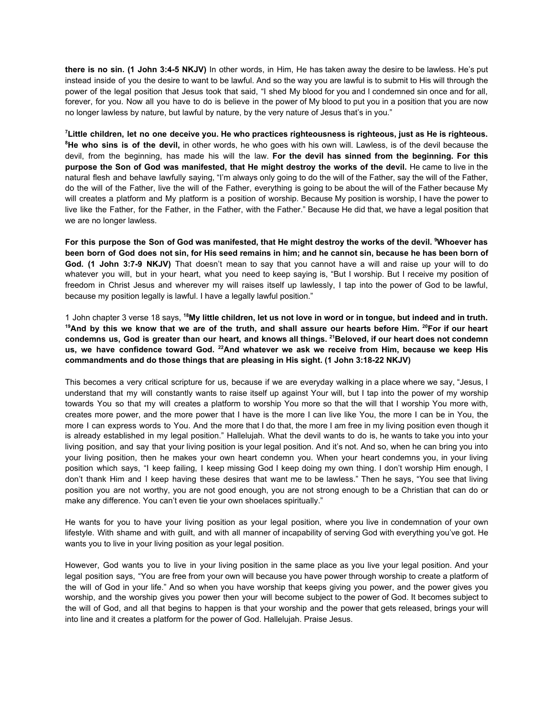**there is no sin. (1 John 3:4-5 NKJV)** In other words, in Him, He has taken away the desire to be lawless. He's put instead inside of you the desire to want to be lawful. And so the way you are lawful is to submit to His will through the power of the legal position that Jesus took that said, "I shed My blood for you and I condemned sin once and for all, forever, for you. Now all you have to do is believe in the power of My blood to put you in a position that you are now no longer lawless by nature, but lawful by nature, by the very nature of Jesus that's in you."

<sup>7</sup> Little children, let no one deceive you. He who practices righteousness is righteous, just as He is righteous. **<sup>8</sup>He who sins is of the devil,** in other words, he who goes with his own will. Lawless, is of the devil because the devil, from the beginning, has made his will the law. **For the devil has sinned from the beginning. For this purpose the Son of God was manifested, that He might destroy the works of the devil.** He came to live in the natural flesh and behave lawfully saying, "I'm always only going to do the will of the Father, say the will of the Father, do the will of the Father, live the will of the Father, everything is going to be about the will of the Father because My will creates a platform and My platform is a position of worship. Because My position is worship, I have the power to live like the Father, for the Father, in the Father, with the Father." Because He did that, we have a legal position that we are no longer lawless.

For this purpose the Son of God was manifested, that He might destroy the works of the devil. <sup>9</sup>Whoever has been born of God does not sin, for His seed remains in him; and he cannot sin, because he has been born of **God. (1 John 3:7-9 NKJV)** That doesn't mean to say that you cannot have a will and raise up your will to do whatever you will, but in your heart, what you need to keep saying is, "But I worship. But I receive my position of freedom in Christ Jesus and wherever my will raises itself up lawlessly, I tap into the power of God to be lawful, because my position legally is lawful. I have a legally lawful position."

1 John chapter 3 verse 18 says, <sup>18</sup>My little children, let us not love in word or in tongue, but indeed and in truth. <sup>19</sup>And by this we know that we are of the truth, and shall assure our hearts before Him. <sup>20</sup>For if our heart condemns us, God is greater than our heart, and knows all things. <sup>21</sup>Beloved, if our heart does not condemn us, we have confidence toward God. <sup>22</sup>And whatever we ask we receive from Him, because we keep His **commandments and do those things that are pleasing in His sight. (1 John 3:18-22 NKJV)**

This becomes a very critical scripture for us, because if we are everyday walking in a place where we say, "Jesus, I understand that my will constantly wants to raise itself up against Your will, but I tap into the power of my worship towards You so that my will creates a platform to worship You more so that the will that I worship You more with, creates more power, and the more power that I have is the more I can live like You, the more I can be in You, the more I can express words to You. And the more that I do that, the more I am free in my living position even though it is already established in my legal position." Hallelujah. What the devil wants to do is, he wants to take you into your living position, and say that your living position is your legal position. And it's not. And so, when he can bring you into your living position, then he makes your own heart condemn you. When your heart condemns you, in your living position which says, "I keep failing, I keep missing God I keep doing my own thing. I don't worship Him enough, I don't thank Him and I keep having these desires that want me to be lawless." Then he says, "You see that living position you are not worthy, you are not good enough, you are not strong enough to be a Christian that can do or make any difference. You can't even tie your own shoelaces spiritually."

He wants for you to have your living position as your legal position, where you live in condemnation of your own lifestyle. With shame and with guilt, and with all manner of incapability of serving God with everything you've got. He wants you to live in your living position as your legal position.

However, God wants you to live in your living position in the same place as you live your legal position. And your legal position says, "You are free from your own will because you have power through worship to create a platform of the will of God in your life." And so when you have worship that keeps giving you power, and the power gives you worship, and the worship gives you power then your will become subject to the power of God. It becomes subject to the will of God, and all that begins to happen is that your worship and the power that gets released, brings your will into line and it creates a platform for the power of God. Hallelujah. Praise Jesus.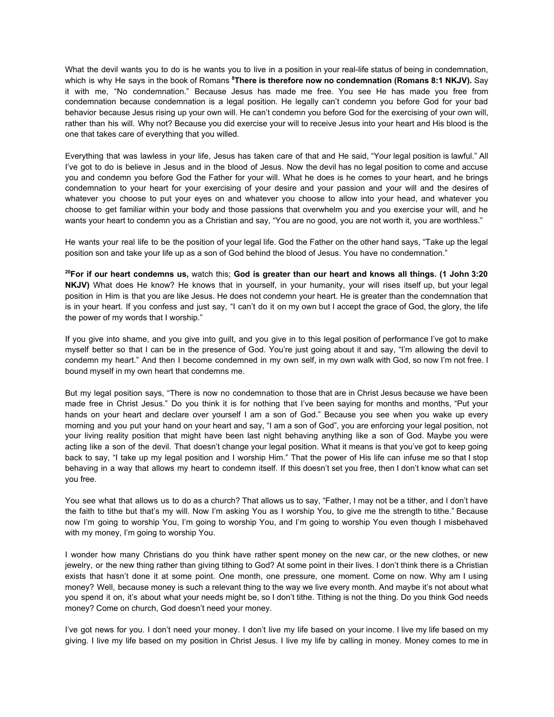What the devil wants you to do is he wants you to live in a position in your real-life status of being in condemnation, which is why He says in the book of Romans **<sup>8</sup>There is therefore now no condemnation (Romans 8:1 NKJV).** Say it with me, "No condemnation." Because Jesus has made me free. You see He has made you free from condemnation because condemnation is a legal position. He legally can't condemn you before God for your bad behavior because Jesus rising up your own will. He can't condemn you before God for the exercising of your own will, rather than his will. Why not? Because you did exercise your will to receive Jesus into your heart and His blood is the one that takes care of everything that you willed.

Everything that was lawless in your life, Jesus has taken care of that and He said, "Your legal position is lawful." All I've got to do is believe in Jesus and in the blood of Jesus. Now the devil has no legal position to come and accuse you and condemn you before God the Father for your will. What he does is he comes to your heart, and he brings condemnation to your heart for your exercising of your desire and your passion and your will and the desires of whatever you choose to put your eyes on and whatever you choose to allow into your head, and whatever you choose to get familiar within your body and those passions that overwhelm you and you exercise your will, and he wants your heart to condemn you as a Christian and say, "You are no good, you are not worth it, you are worthless."

He wants your real life to be the position of your legal life. God the Father on the other hand says, "Take up the legal position son and take your life up as a son of God behind the blood of Jesus. You have no condemnation."

<sup>20</sup>For if our heart condemns us, watch this; God is greater than our heart and knows all things. (1 John 3:20 **NKJV)** What does He know? He knows that in yourself, in your humanity, your will rises itself up, but your legal position in Him is that you are like Jesus. He does not condemn your heart. He is greater than the condemnation that is in your heart. If you confess and just say, "I can't do it on my own but I accept the grace of God, the glory, the life the power of my words that I worship."

If you give into shame, and you give into guilt, and you give in to this legal position of performance I've got to make myself better so that I can be in the presence of God. You're just going about it and say, "I'm allowing the devil to condemn my heart." And then I become condemned in my own self, in my own walk with God, so now I'm not free. I bound myself in my own heart that condemns me.

But my legal position says, "There is now no condemnation to those that are in Christ Jesus because we have been made free in Christ Jesus." Do you think it is for nothing that I've been saying for months and months, "Put your hands on your heart and declare over yourself I am a son of God." Because you see when you wake up every morning and you put your hand on your heart and say, "I am a son of God", you are enforcing your legal position, not your living reality position that might have been last night behaving anything like a son of God. Maybe you were acting like a son of the devil. That doesn't change your legal position. What it means is that you've got to keep going back to say, "I take up my legal position and I worship Him." That the power of His life can infuse me so that I stop behaving in a way that allows my heart to condemn itself. If this doesn't set you free, then I don't know what can set you free.

You see what that allows us to do as a church? That allows us to say, "Father, I may not be a tither, and I don't have the faith to tithe but that's my will. Now I'm asking You as I worship You, to give me the strength to tithe." Because now I'm going to worship You, I'm going to worship You, and I'm going to worship You even though I misbehaved with my money, I'm going to worship You.

I wonder how many Christians do you think have rather spent money on the new car, or the new clothes, or new jewelry, or the new thing rather than giving tithing to God? At some point in their lives. I don't think there is a Christian exists that hasn't done it at some point. One month, one pressure, one moment. Come on now. Why am I using money? Well, because money is such a relevant thing to the way we live every month. And maybe it's not about what you spend it on, it's about what your needs might be, so I don't tithe. Tithing is not the thing. Do you think God needs money? Come on church, God doesn't need your money.

I've got news for you. I don't need your money. I don't live my life based on your income. I live my life based on my giving. I live my life based on my position in Christ Jesus. I live my life by calling in money. Money comes to me in